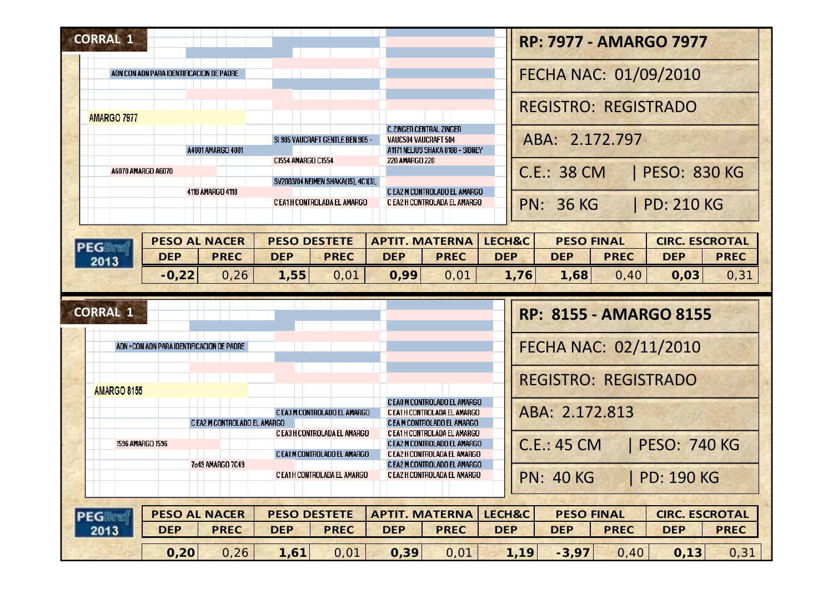| <b>CORRAL 1</b>                              |                                                              |                                                                                             | <b>RP: 7977 - AMARGO 7977</b>                                                                                |  |  |  |
|----------------------------------------------|--------------------------------------------------------------|---------------------------------------------------------------------------------------------|--------------------------------------------------------------------------------------------------------------|--|--|--|
| ADN CON ADN PARA IDENTIFICACION DE PADRE     |                                                              |                                                                                             | FECHA NAC: 01/09/2010                                                                                        |  |  |  |
| AMARGO 7977                                  |                                                              |                                                                                             | <b>REGISTRO: REGISTRADO</b>                                                                                  |  |  |  |
| A4001 AMARGO 4001                            | SI 905 VAUCRAFT GENTLE BEN 905 -                             | <b>C.ZINGER CENTRAL ZINGER</b><br>VAUC504 VAUCRAFT 504<br>A1171 NELIUS SHAKA 8188 - SIDNEY  | ABA: 2.172.797                                                                                               |  |  |  |
| A6070 AMARGO A6070                           | C1554 AMARGO C1554<br>SV2003/04 NEIMEN SHAKA(15), 4C1(3),    | <b>220 AMARGO 220</b>                                                                       | <b>C.E.: 38 CM</b><br><b>PESO: 830 KG</b>                                                                    |  |  |  |
| 4118 AMARGO 4118                             | C EA1H CONTROLADA EL AMARGO                                  | C EA2 M CONTROLADO EL AMARGO<br>C EA2 H CONTROLADA EL AMARGO                                | <b>PN: 36 KG</b><br><b>PD: 210 KG</b>                                                                        |  |  |  |
| <b>PESO AL NACER</b><br><b>PEG Dram</b>      | <b>PESO DESTETE</b>                                          | <b>APTIT. MATERNA</b>                                                                       | <b>CIRC. ESCROTAL</b><br>LECH&C<br><b>PESO FINAL</b>                                                         |  |  |  |
| <b>PREC</b><br><b>DEP</b><br>2013<br>$-0,22$ | <b>DEP</b><br><b>PREC</b><br>1,55<br>0,26<br>0,01            | <b>DEP</b><br><b>PREC</b><br>0,99<br>0,01                                                   | <b>DEP</b><br><b>DEP</b><br><b>PREC</b><br><b>DEP</b><br><b>PREC</b><br>1,76<br>0,03<br>1,68<br>0,40<br>0,31 |  |  |  |
|                                              |                                                              |                                                                                             |                                                                                                              |  |  |  |
| ADN = CON ADN PARA IDENTIFICACION DE PADRE   |                                                              |                                                                                             | <b>RP: 8155 - AMARGO 8155</b><br>FECHA NAC: 02/11/2010                                                       |  |  |  |
|                                              |                                                              |                                                                                             | <b>REGISTRO: REGISTRADO</b>                                                                                  |  |  |  |
| <b>AMARGO 8155</b>                           | C EA3 M CONTROLADO EL AMARGO<br>C EA2 M CONTROLADO EL AMARGO | C EA0 M CONTROLADO EL AMARGO<br>C EA1H CONTROLADA EL AMARGO<br>C EA M CONTROLADO EL AMARGO  | ABA: 2.172.813                                                                                               |  |  |  |
| 1596 AMARGO 1596                             | C EA3 H CONTROLADA EL AMARGO<br>C EA1 M CONTROLADO EL AMARGO | C EA1H CONTROLADA EL AMARGO<br>C EA2 M CONTROLADO EL AMARGO<br>C EA2 H CONTROLADA EL AMARGO | <b>C.E.: 45 CM</b><br><b>PESO: 740 KG</b>                                                                    |  |  |  |
| 7c49 AMARGO 7C49                             | C EA1H CONTROLADA EL AMARGO                                  | C EA2 M CONTROLADO EL AMARGO<br>C EA2 H CONTROLADA EL AMARGO                                | <b>PN: 40 KG</b><br><b>PD: 190 KG</b>                                                                        |  |  |  |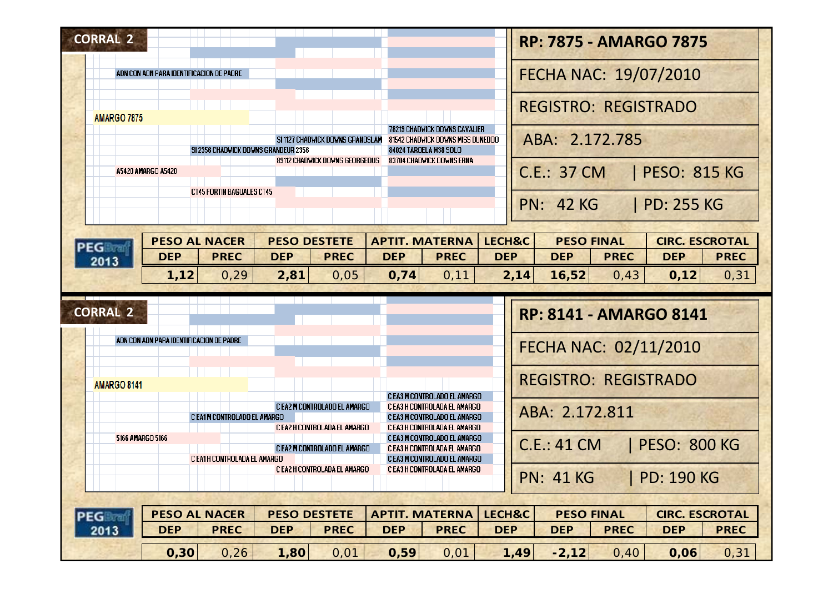| <b>CORRAL 2</b>                          |                                      |            |                                                              |            |                                                                                              |                      |      |                    |                                  | <b>RP: 7875 - AMARGO 7875</b>       |                     |
|------------------------------------------|--------------------------------------|------------|--------------------------------------------------------------|------------|----------------------------------------------------------------------------------------------|----------------------|------|--------------------|----------------------------------|-------------------------------------|---------------------|
| ADN CON ADN PARA IDENTIFICACION DE PADRE |                                      |            |                                                              |            |                                                                                              |                      |      |                    |                                  | FECHA NAC: 19/07/2010               |                     |
| <b>AMARGO 7875</b>                       |                                      |            |                                                              |            |                                                                                              |                      |      |                    | <b>REGISTRO: REGISTRADO</b>      |                                     |                     |
|                                          | SI 2356 CHADWICK DOWNS GRANDEUR 2356 |            | SI 1127 CHADWICK DOWNS GRANDSLAM                             |            | 78219 CHADWICK DOWNS CAVALIER<br>81542 CHADWICK DOWNS MISS DUNEDOO<br>84024 TAROELA M38 SOLO |                      |      |                    | ABA: 2.172.785                   |                                     |                     |
| A5420 AMARGO A5420                       |                                      |            | 89112 CHADWICK DOWNS GEORGEOUS                               |            | 83704 CHADWICK DOWNS ERNA                                                                    |                      |      | <b>C.E.: 37 CM</b> |                                  | <b>PESO: 815 KG</b>                 |                     |
|                                          | <b>CT45 FORTIN BAGUALES CT45</b>     |            |                                                              |            |                                                                                              |                      |      | <b>PN: 42 KG</b>   |                                  | PD: 255 KG                          |                     |
| <b>PEG Board</b>                         | <b>PESO AL NACER</b>                 |            | <b>PESO DESTETE</b>                                          |            | <b>APTIT. MATERNA</b>                                                                        | LECH&C               |      |                    | <b>PESO FINAL</b>                | <b>CIRC. ESCROTAL</b>               |                     |
| <b>DEP</b><br>2013                       | <b>PREC</b>                          | <b>DEP</b> | <b>PREC</b>                                                  | <b>DEP</b> | <b>PREC</b>                                                                                  | <b>DEP</b>           |      | <b>DEP</b>         | <b>PREC</b>                      | <b>DEP</b>                          | <b>PREC</b>         |
| 1,12                                     | 0, 29                                | 2,81       | 0,05                                                         | 0,74       | 0, 11                                                                                        |                      | 2,14 | 16,52              | 0,43                             | 0,12                                |                     |
| <b>CORRAL 2</b>                          |                                      |            |                                                              |            |                                                                                              |                      |      |                    |                                  | <b>RP: 8141 - AMARGO 8141</b>       |                     |
| ADN CON ADN PARA IDENTIFICACION DE PADRE |                                      |            |                                                              |            |                                                                                              |                      |      |                    |                                  | FECHA NAC: 02/11/2010               |                     |
| AMARGO 8141                              |                                      |            |                                                              |            |                                                                                              |                      |      |                    | <b>REGISTRO: REGISTRADO</b>      |                                     |                     |
|                                          | C EA1 M CONTROLADO EL AMARGO         |            | C EA2 M CONTROLADO EL AMARGO                                 |            | C EA3 M CONTROLADO EL AMARGO<br>C EA3 H CONTROLADA EL AMARGO<br>C EA3 M CONTROLADO EL AMARGO |                      |      | ABA: 2.172.811     |                                  |                                     |                     |
| 5166 AMARGO 5166                         |                                      |            | C EA2 H CONTROLADA EL AMARGO<br>C EA2 M CONTROLADO EL AMARGO |            | C EA3 H CONTROLADA EL AMARGO<br>C EA3 M CONTROLADO EL AMARGO<br>C EA3 H CONTROLADA EL AMARGO |                      |      | <b>C.E.: 41 CM</b> |                                  | <b>PESO: 800 KG</b>                 |                     |
|                                          | C EA1H CONTROLADA EL AMARGO          |            | C EA2 H CONTROLADA EL AMARGO                                 |            | C EA3 M CONTROLADO EL AMARGO<br>C EA3 H CONTROLADA EL AMARGO                                 |                      |      | <b>PN: 41 KG</b>   |                                  | <b>PD: 190 KG</b>                   |                     |
| PEGReaf<br><b>DEP</b><br>2013            | <b>PESO AL NACER</b><br><b>PREC</b>  | <b>DEP</b> | <b>PESO DESTETE</b><br><b>PREC</b>                           | <b>DEP</b> | <b>APTIT. MATERNA</b><br><b>PREC</b>                                                         | LECH&C<br><b>DEP</b> |      | <b>DEP</b>         | <b>PESO FINAL</b><br><b>PREC</b> | <b>CIRC. ESCROTAL</b><br><b>DEP</b> | 0,31<br><b>PREC</b> |